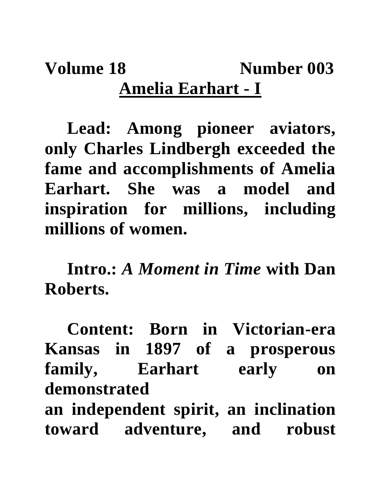## **Volume 18 Number 003 Amelia Earhart - I**

**Lead: Among pioneer aviators, only Charles Lindbergh exceeded the fame and accomplishments of Amelia Earhart. She was a model and inspiration for millions, including millions of women.**

**Intro.:** *A Moment in Time* **with Dan Roberts.**

**Content: Born in Victorian-era Kansas in 1897 of a prosperous family, Earhart early on demonstrated an independent spirit, an inclination toward adventure, and robust**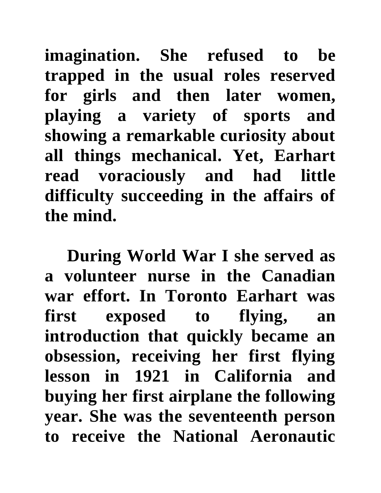**imagination. She refused to be trapped in the usual roles reserved for girls and then later women, playing a variety of sports and showing a remarkable curiosity about all things mechanical. Yet, Earhart read voraciously and had little difficulty succeeding in the affairs of the mind.** 

**During World War I she served as a volunteer nurse in the Canadian war effort. In Toronto Earhart was first exposed to flying, an introduction that quickly became an obsession, receiving her first flying lesson in 1921 in California and buying her first airplane the following year. She was the seventeenth person to receive the National Aeronautic**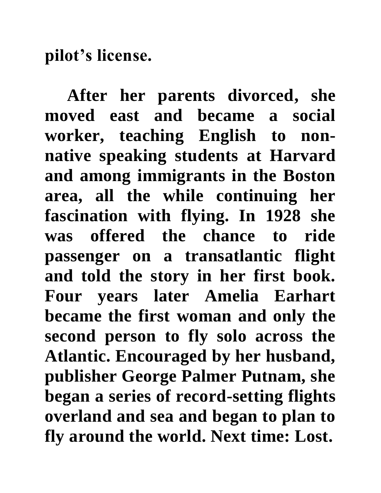**pilot's license.** 

**After her parents divorced, she moved east and became a social worker, teaching English to nonnative speaking students at Harvard and among immigrants in the Boston area, all the while continuing her fascination with flying. In 1928 she was offered the chance to ride passenger on a transatlantic flight and told the story in her first book. Four years later Amelia Earhart became the first woman and only the second person to fly solo across the Atlantic. Encouraged by her husband, publisher George Palmer Putnam, she began a series of record-setting flights overland and sea and began to plan to fly around the world. Next time: Lost.**